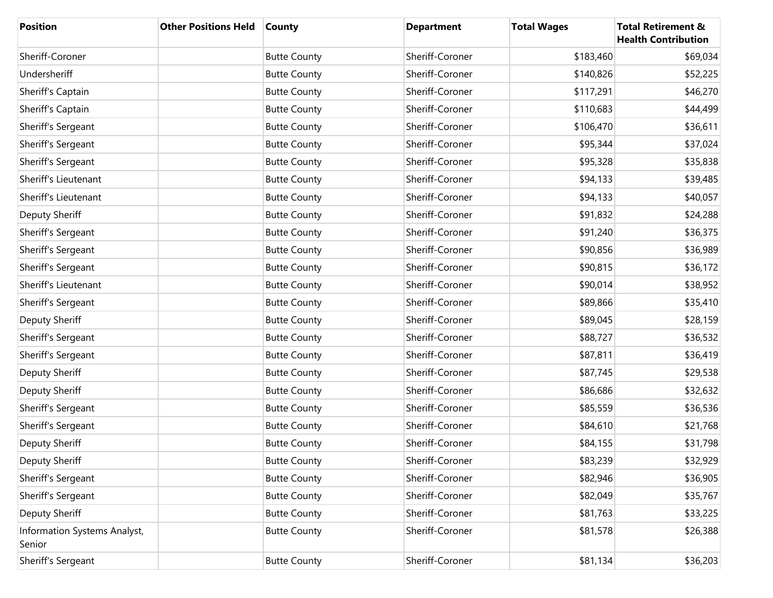| <b>Position</b>                        | <b>Other Positions Held</b> | <b>County</b>       | <b>Department</b> | <b>Total Wages</b> | <b>Total Retirement &amp;</b><br><b>Health Contribution</b> |
|----------------------------------------|-----------------------------|---------------------|-------------------|--------------------|-------------------------------------------------------------|
| Sheriff-Coroner                        |                             | <b>Butte County</b> | Sheriff-Coroner   | \$183,460          | \$69,034                                                    |
| Undersheriff                           |                             | <b>Butte County</b> | Sheriff-Coroner   | \$140,826          | \$52,225                                                    |
| Sheriff's Captain                      |                             | <b>Butte County</b> | Sheriff-Coroner   | \$117,291          | \$46,270                                                    |
| Sheriff's Captain                      |                             | <b>Butte County</b> | Sheriff-Coroner   | \$110,683          | \$44,499                                                    |
| Sheriff's Sergeant                     |                             | <b>Butte County</b> | Sheriff-Coroner   | \$106,470          | \$36,611                                                    |
| Sheriff's Sergeant                     |                             | <b>Butte County</b> | Sheriff-Coroner   | \$95,344           | \$37,024                                                    |
| Sheriff's Sergeant                     |                             | <b>Butte County</b> | Sheriff-Coroner   | \$95,328           | \$35,838                                                    |
| Sheriff's Lieutenant                   |                             | <b>Butte County</b> | Sheriff-Coroner   | \$94,133           | \$39,485                                                    |
| Sheriff's Lieutenant                   |                             | <b>Butte County</b> | Sheriff-Coroner   | \$94,133           | \$40,057                                                    |
| Deputy Sheriff                         |                             | <b>Butte County</b> | Sheriff-Coroner   | \$91,832           | \$24,288                                                    |
| Sheriff's Sergeant                     |                             | <b>Butte County</b> | Sheriff-Coroner   | \$91,240           | \$36,375                                                    |
| Sheriff's Sergeant                     |                             | <b>Butte County</b> | Sheriff-Coroner   | \$90,856           | \$36,989                                                    |
| Sheriff's Sergeant                     |                             | <b>Butte County</b> | Sheriff-Coroner   | \$90,815           | \$36,172                                                    |
| Sheriff's Lieutenant                   |                             | <b>Butte County</b> | Sheriff-Coroner   | \$90,014           | \$38,952                                                    |
| Sheriff's Sergeant                     |                             | <b>Butte County</b> | Sheriff-Coroner   | \$89,866           | \$35,410                                                    |
| Deputy Sheriff                         |                             | <b>Butte County</b> | Sheriff-Coroner   | \$89,045           | \$28,159                                                    |
| Sheriff's Sergeant                     |                             | <b>Butte County</b> | Sheriff-Coroner   | \$88,727           | \$36,532                                                    |
| Sheriff's Sergeant                     |                             | <b>Butte County</b> | Sheriff-Coroner   | \$87,811           | \$36,419                                                    |
| Deputy Sheriff                         |                             | <b>Butte County</b> | Sheriff-Coroner   | \$87,745           | \$29,538                                                    |
| Deputy Sheriff                         |                             | <b>Butte County</b> | Sheriff-Coroner   | \$86,686           | \$32,632                                                    |
| Sheriff's Sergeant                     |                             | <b>Butte County</b> | Sheriff-Coroner   | \$85,559           | \$36,536                                                    |
| Sheriff's Sergeant                     |                             | <b>Butte County</b> | Sheriff-Coroner   | \$84,610           | \$21,768                                                    |
| Deputy Sheriff                         |                             | <b>Butte County</b> | Sheriff-Coroner   | \$84,155           | \$31,798                                                    |
| Deputy Sheriff                         |                             | <b>Butte County</b> | Sheriff-Coroner   | \$83,239           | \$32,929                                                    |
| Sheriff's Sergeant                     |                             | <b>Butte County</b> | Sheriff-Coroner   | \$82,946           | \$36,905                                                    |
| Sheriff's Sergeant                     |                             | <b>Butte County</b> | Sheriff-Coroner   | \$82,049           | \$35,767                                                    |
| Deputy Sheriff                         |                             | <b>Butte County</b> | Sheriff-Coroner   | \$81,763           | \$33,225                                                    |
| Information Systems Analyst,<br>Senior |                             | <b>Butte County</b> | Sheriff-Coroner   | \$81,578           | \$26,388                                                    |
| Sheriff's Sergeant                     |                             | <b>Butte County</b> | Sheriff-Coroner   | \$81,134           | \$36,203                                                    |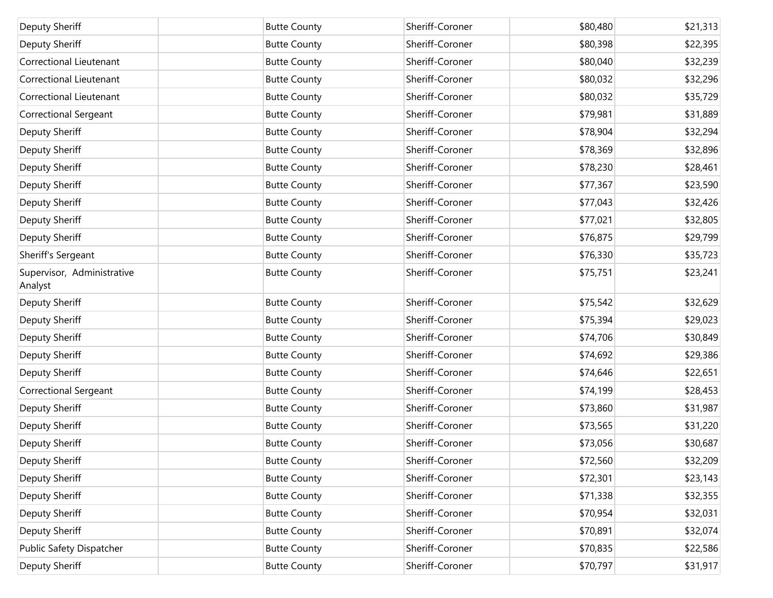| Deputy Sheriff                        | <b>Butte County</b> | Sheriff-Coroner | \$80,480 | \$21,313 |
|---------------------------------------|---------------------|-----------------|----------|----------|
| Deputy Sheriff                        | <b>Butte County</b> | Sheriff-Coroner | \$80,398 | \$22,395 |
| Correctional Lieutenant               | <b>Butte County</b> | Sheriff-Coroner | \$80,040 | \$32,239 |
| Correctional Lieutenant               | <b>Butte County</b> | Sheriff-Coroner | \$80,032 | \$32,296 |
| Correctional Lieutenant               | <b>Butte County</b> | Sheriff-Coroner | \$80,032 | \$35,729 |
| Correctional Sergeant                 | <b>Butte County</b> | Sheriff-Coroner | \$79,981 | \$31,889 |
| Deputy Sheriff                        | <b>Butte County</b> | Sheriff-Coroner | \$78,904 | \$32,294 |
| Deputy Sheriff                        | <b>Butte County</b> | Sheriff-Coroner | \$78,369 | \$32,896 |
| Deputy Sheriff                        | <b>Butte County</b> | Sheriff-Coroner | \$78,230 | \$28,461 |
| Deputy Sheriff                        | <b>Butte County</b> | Sheriff-Coroner | \$77,367 | \$23,590 |
| Deputy Sheriff                        | <b>Butte County</b> | Sheriff-Coroner | \$77,043 | \$32,426 |
| Deputy Sheriff                        | <b>Butte County</b> | Sheriff-Coroner | \$77,021 | \$32,805 |
| Deputy Sheriff                        | <b>Butte County</b> | Sheriff-Coroner | \$76,875 | \$29,799 |
| Sheriff's Sergeant                    | <b>Butte County</b> | Sheriff-Coroner | \$76,330 | \$35,723 |
| Supervisor, Administrative<br>Analyst | <b>Butte County</b> | Sheriff-Coroner | \$75,751 | \$23,241 |
| Deputy Sheriff                        | <b>Butte County</b> | Sheriff-Coroner | \$75,542 | \$32,629 |
| Deputy Sheriff                        | <b>Butte County</b> | Sheriff-Coroner | \$75,394 | \$29,023 |
| Deputy Sheriff                        | <b>Butte County</b> | Sheriff-Coroner | \$74,706 | \$30,849 |
| Deputy Sheriff                        | <b>Butte County</b> | Sheriff-Coroner | \$74,692 | \$29,386 |
| Deputy Sheriff                        | <b>Butte County</b> | Sheriff-Coroner | \$74,646 | \$22,651 |
| <b>Correctional Sergeant</b>          | <b>Butte County</b> | Sheriff-Coroner | \$74,199 | \$28,453 |
| Deputy Sheriff                        | <b>Butte County</b> | Sheriff-Coroner | \$73,860 | \$31,987 |
| Deputy Sheriff                        | <b>Butte County</b> | Sheriff-Coroner | \$73,565 | \$31,220 |
| Deputy Sheriff                        | <b>Butte County</b> | Sheriff-Coroner | \$73,056 | \$30,687 |
| Deputy Sheriff                        | <b>Butte County</b> | Sheriff-Coroner | \$72,560 | \$32,209 |
| Deputy Sheriff                        | <b>Butte County</b> | Sheriff-Coroner | \$72,301 | \$23,143 |
| Deputy Sheriff                        | <b>Butte County</b> | Sheriff-Coroner | \$71,338 | \$32,355 |
| Deputy Sheriff                        | <b>Butte County</b> | Sheriff-Coroner | \$70,954 | \$32,031 |
| Deputy Sheriff                        | <b>Butte County</b> | Sheriff-Coroner | \$70,891 | \$32,074 |
| Public Safety Dispatcher              | <b>Butte County</b> | Sheriff-Coroner | \$70,835 | \$22,586 |
| Deputy Sheriff                        | <b>Butte County</b> | Sheriff-Coroner | \$70,797 | \$31,917 |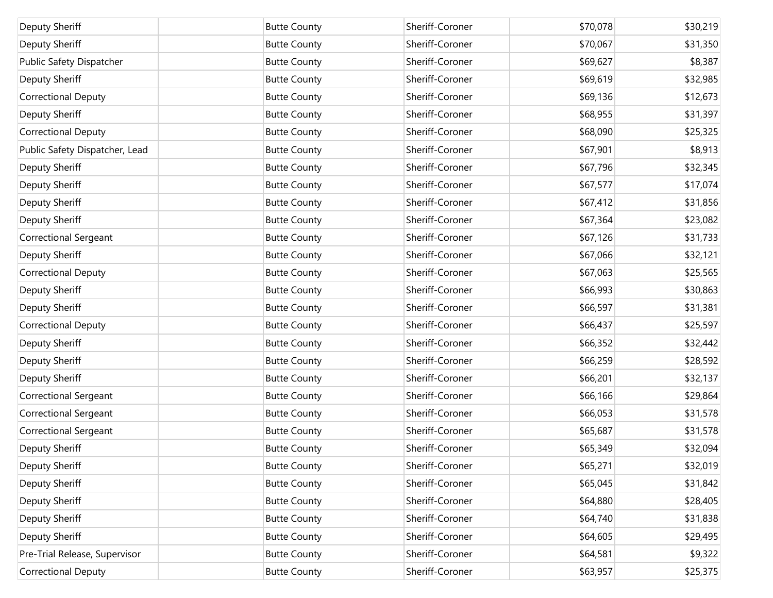| Deputy Sheriff                 | <b>Butte County</b> | Sheriff-Coroner | \$70,078 | \$30,219 |
|--------------------------------|---------------------|-----------------|----------|----------|
| Deputy Sheriff                 | <b>Butte County</b> | Sheriff-Coroner | \$70,067 | \$31,350 |
| Public Safety Dispatcher       | <b>Butte County</b> | Sheriff-Coroner | \$69,627 | \$8,387  |
| Deputy Sheriff                 | <b>Butte County</b> | Sheriff-Coroner | \$69,619 | \$32,985 |
| <b>Correctional Deputy</b>     | <b>Butte County</b> | Sheriff-Coroner | \$69,136 | \$12,673 |
| Deputy Sheriff                 | <b>Butte County</b> | Sheriff-Coroner | \$68,955 | \$31,397 |
| <b>Correctional Deputy</b>     | <b>Butte County</b> | Sheriff-Coroner | \$68,090 | \$25,325 |
| Public Safety Dispatcher, Lead | <b>Butte County</b> | Sheriff-Coroner | \$67,901 | \$8,913  |
| Deputy Sheriff                 | <b>Butte County</b> | Sheriff-Coroner | \$67,796 | \$32,345 |
| Deputy Sheriff                 | <b>Butte County</b> | Sheriff-Coroner | \$67,577 | \$17,074 |
| Deputy Sheriff                 | <b>Butte County</b> | Sheriff-Coroner | \$67,412 | \$31,856 |
| Deputy Sheriff                 | <b>Butte County</b> | Sheriff-Coroner | \$67,364 | \$23,082 |
| <b>Correctional Sergeant</b>   | <b>Butte County</b> | Sheriff-Coroner | \$67,126 | \$31,733 |
| Deputy Sheriff                 | <b>Butte County</b> | Sheriff-Coroner | \$67,066 | \$32,121 |
| <b>Correctional Deputy</b>     | <b>Butte County</b> | Sheriff-Coroner | \$67,063 | \$25,565 |
| Deputy Sheriff                 | <b>Butte County</b> | Sheriff-Coroner | \$66,993 | \$30,863 |
| Deputy Sheriff                 | <b>Butte County</b> | Sheriff-Coroner | \$66,597 | \$31,381 |
| <b>Correctional Deputy</b>     | <b>Butte County</b> | Sheriff-Coroner | \$66,437 | \$25,597 |
| Deputy Sheriff                 | <b>Butte County</b> | Sheriff-Coroner | \$66,352 | \$32,442 |
| Deputy Sheriff                 | <b>Butte County</b> | Sheriff-Coroner | \$66,259 | \$28,592 |
| Deputy Sheriff                 | <b>Butte County</b> | Sheriff-Coroner | \$66,201 | \$32,137 |
| <b>Correctional Sergeant</b>   | <b>Butte County</b> | Sheriff-Coroner | \$66,166 | \$29,864 |
| <b>Correctional Sergeant</b>   | <b>Butte County</b> | Sheriff-Coroner | \$66,053 | \$31,578 |
| <b>Correctional Sergeant</b>   | <b>Butte County</b> | Sheriff-Coroner | \$65,687 | \$31,578 |
| Deputy Sheriff                 | <b>Butte County</b> | Sheriff-Coroner | \$65,349 | \$32,094 |
| Deputy Sheriff                 | <b>Butte County</b> | Sheriff-Coroner | \$65,271 | \$32,019 |
| Deputy Sheriff                 | <b>Butte County</b> | Sheriff-Coroner | \$65,045 | \$31,842 |
| Deputy Sheriff                 | <b>Butte County</b> | Sheriff-Coroner | \$64,880 | \$28,405 |
| Deputy Sheriff                 | <b>Butte County</b> | Sheriff-Coroner | \$64,740 | \$31,838 |
| Deputy Sheriff                 | <b>Butte County</b> | Sheriff-Coroner | \$64,605 | \$29,495 |
| Pre-Trial Release, Supervisor  | <b>Butte County</b> | Sheriff-Coroner | \$64,581 | \$9,322  |
| <b>Correctional Deputy</b>     | <b>Butte County</b> | Sheriff-Coroner | \$63,957 | \$25,375 |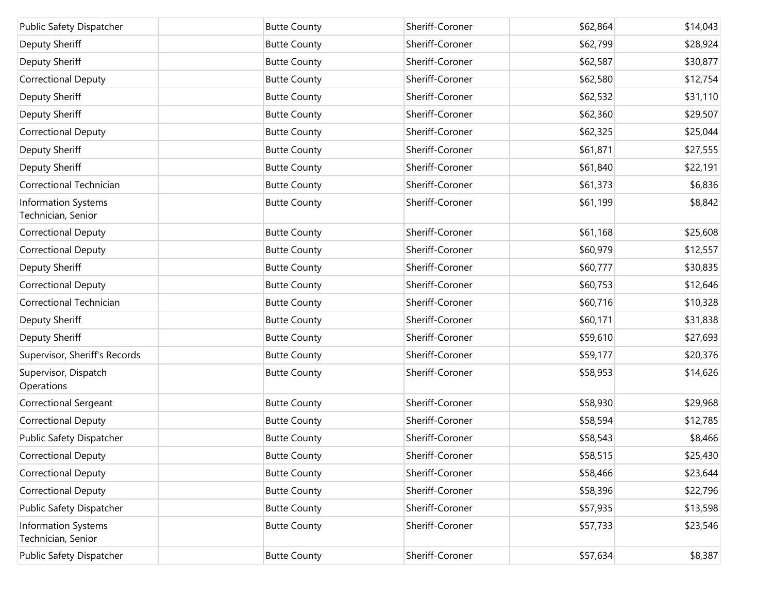| Public Safety Dispatcher                         | <b>Butte County</b> | Sheriff-Coroner | \$62,864 | \$14,043 |
|--------------------------------------------------|---------------------|-----------------|----------|----------|
| Deputy Sheriff                                   | <b>Butte County</b> | Sheriff-Coroner | \$62,799 | \$28,924 |
| Deputy Sheriff                                   | <b>Butte County</b> | Sheriff-Coroner | \$62,587 | \$30,877 |
| <b>Correctional Deputy</b>                       | <b>Butte County</b> | Sheriff-Coroner | \$62,580 | \$12,754 |
| Deputy Sheriff                                   | <b>Butte County</b> | Sheriff-Coroner | \$62,532 | \$31,110 |
| Deputy Sheriff                                   | <b>Butte County</b> | Sheriff-Coroner | \$62,360 | \$29,507 |
| <b>Correctional Deputy</b>                       | <b>Butte County</b> | Sheriff-Coroner | \$62,325 | \$25,044 |
| Deputy Sheriff                                   | <b>Butte County</b> | Sheriff-Coroner | \$61,871 | \$27,555 |
| Deputy Sheriff                                   | <b>Butte County</b> | Sheriff-Coroner | \$61,840 | \$22,191 |
| Correctional Technician                          | <b>Butte County</b> | Sheriff-Coroner | \$61,373 | \$6,836  |
| <b>Information Systems</b><br>Technician, Senior | <b>Butte County</b> | Sheriff-Coroner | \$61,199 | \$8,842  |
| <b>Correctional Deputy</b>                       | <b>Butte County</b> | Sheriff-Coroner | \$61,168 | \$25,608 |
| <b>Correctional Deputy</b>                       | <b>Butte County</b> | Sheriff-Coroner | \$60,979 | \$12,557 |
| Deputy Sheriff                                   | <b>Butte County</b> | Sheriff-Coroner | \$60,777 | \$30,835 |
| <b>Correctional Deputy</b>                       | <b>Butte County</b> | Sheriff-Coroner | \$60,753 | \$12,646 |
| Correctional Technician                          | <b>Butte County</b> | Sheriff-Coroner | \$60,716 | \$10,328 |
| Deputy Sheriff                                   | <b>Butte County</b> | Sheriff-Coroner | \$60,171 | \$31,838 |
| Deputy Sheriff                                   | <b>Butte County</b> | Sheriff-Coroner | \$59,610 | \$27,693 |
| Supervisor, Sheriff's Records                    | <b>Butte County</b> | Sheriff-Coroner | \$59,177 | \$20,376 |
| Supervisor, Dispatch<br>Operations               | <b>Butte County</b> | Sheriff-Coroner | \$58,953 | \$14,626 |
| <b>Correctional Sergeant</b>                     | <b>Butte County</b> | Sheriff-Coroner | \$58,930 | \$29,968 |
| <b>Correctional Deputy</b>                       | <b>Butte County</b> | Sheriff-Coroner | \$58,594 | \$12,785 |
| Public Safety Dispatcher                         | <b>Butte County</b> | Sheriff-Coroner | \$58,543 | \$8,466  |
| <b>Correctional Deputy</b>                       | <b>Butte County</b> | Sheriff-Coroner | \$58,515 | \$25,430 |
| <b>Correctional Deputy</b>                       | <b>Butte County</b> | Sheriff-Coroner | \$58,466 | \$23,644 |
| <b>Correctional Deputy</b>                       | <b>Butte County</b> | Sheriff-Coroner | \$58,396 | \$22,796 |
| Public Safety Dispatcher                         | <b>Butte County</b> | Sheriff-Coroner | \$57,935 | \$13,598 |
| Information Systems<br>Technician, Senior        | <b>Butte County</b> | Sheriff-Coroner | \$57,733 | \$23,546 |
| Public Safety Dispatcher                         | <b>Butte County</b> | Sheriff-Coroner | \$57,634 | \$8,387  |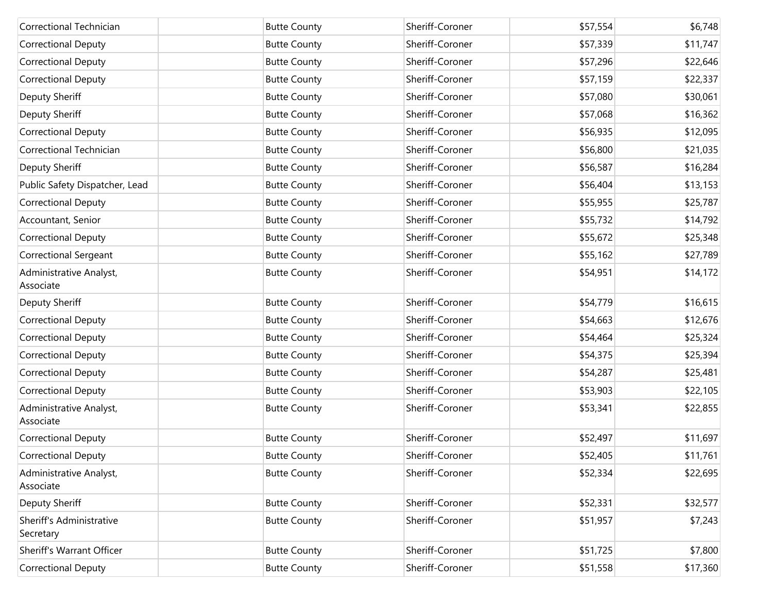| Correctional Technician               | <b>Butte County</b> | Sheriff-Coroner | \$57,554 | \$6,748  |
|---------------------------------------|---------------------|-----------------|----------|----------|
| <b>Correctional Deputy</b>            | <b>Butte County</b> | Sheriff-Coroner | \$57,339 | \$11,747 |
| <b>Correctional Deputy</b>            | <b>Butte County</b> | Sheriff-Coroner | \$57,296 | \$22,646 |
| <b>Correctional Deputy</b>            | <b>Butte County</b> | Sheriff-Coroner | \$57,159 | \$22,337 |
| Deputy Sheriff                        | <b>Butte County</b> | Sheriff-Coroner | \$57,080 | \$30,061 |
| Deputy Sheriff                        | <b>Butte County</b> | Sheriff-Coroner | \$57,068 | \$16,362 |
| <b>Correctional Deputy</b>            | <b>Butte County</b> | Sheriff-Coroner | \$56,935 | \$12,095 |
| Correctional Technician               | <b>Butte County</b> | Sheriff-Coroner | \$56,800 | \$21,035 |
| Deputy Sheriff                        | <b>Butte County</b> | Sheriff-Coroner | \$56,587 | \$16,284 |
| Public Safety Dispatcher, Lead        | <b>Butte County</b> | Sheriff-Coroner | \$56,404 | \$13,153 |
| <b>Correctional Deputy</b>            | <b>Butte County</b> | Sheriff-Coroner | \$55,955 | \$25,787 |
| Accountant, Senior                    | <b>Butte County</b> | Sheriff-Coroner | \$55,732 | \$14,792 |
| <b>Correctional Deputy</b>            | <b>Butte County</b> | Sheriff-Coroner | \$55,672 | \$25,348 |
| Correctional Sergeant                 | <b>Butte County</b> | Sheriff-Coroner | \$55,162 | \$27,789 |
| Administrative Analyst,<br>Associate  | <b>Butte County</b> | Sheriff-Coroner | \$54,951 | \$14,172 |
| Deputy Sheriff                        | <b>Butte County</b> | Sheriff-Coroner | \$54,779 | \$16,615 |
| <b>Correctional Deputy</b>            | <b>Butte County</b> | Sheriff-Coroner | \$54,663 | \$12,676 |
| <b>Correctional Deputy</b>            | <b>Butte County</b> | Sheriff-Coroner | \$54,464 | \$25,324 |
| <b>Correctional Deputy</b>            | <b>Butte County</b> | Sheriff-Coroner | \$54,375 | \$25,394 |
| <b>Correctional Deputy</b>            | <b>Butte County</b> | Sheriff-Coroner | \$54,287 | \$25,481 |
| <b>Correctional Deputy</b>            | <b>Butte County</b> | Sheriff-Coroner | \$53,903 | \$22,105 |
| Administrative Analyst,<br>Associate  | <b>Butte County</b> | Sheriff-Coroner | \$53,341 | \$22,855 |
| <b>Correctional Deputy</b>            | <b>Butte County</b> | Sheriff-Coroner | \$52,497 | \$11,697 |
| Correctional Deputy                   | <b>Butte County</b> | Sheriff-Coroner | \$52,405 | \$11,761 |
| Administrative Analyst,<br>Associate  | <b>Butte County</b> | Sheriff-Coroner | \$52,334 | \$22,695 |
| Deputy Sheriff                        | <b>Butte County</b> | Sheriff-Coroner | \$52,331 | \$32,577 |
| Sheriff's Administrative<br>Secretary | <b>Butte County</b> | Sheriff-Coroner | \$51,957 | \$7,243  |
| Sheriff's Warrant Officer             | <b>Butte County</b> | Sheriff-Coroner | \$51,725 | \$7,800  |
| Correctional Deputy                   | <b>Butte County</b> | Sheriff-Coroner | \$51,558 | \$17,360 |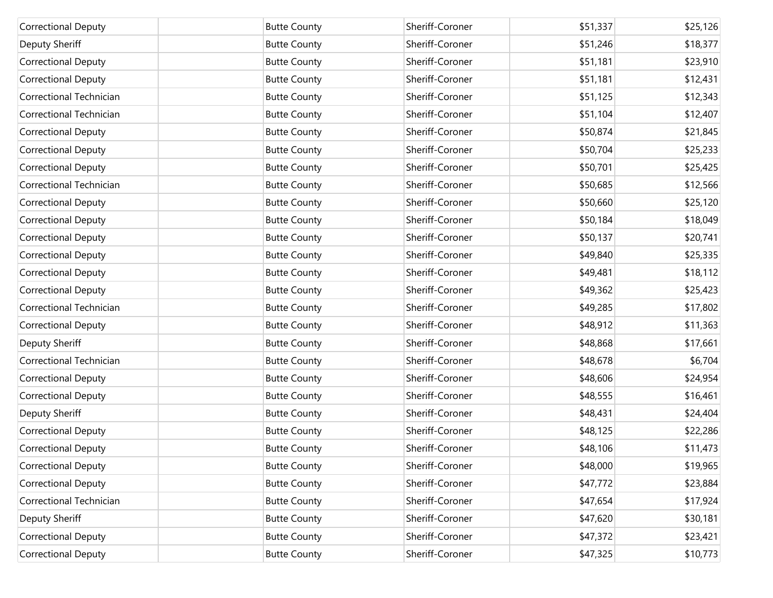| <b>Correctional Deputy</b> | <b>Butte County</b> | Sheriff-Coroner | \$51,337 | \$25,126 |
|----------------------------|---------------------|-----------------|----------|----------|
| Deputy Sheriff             | <b>Butte County</b> | Sheriff-Coroner | \$51,246 | \$18,377 |
| <b>Correctional Deputy</b> | <b>Butte County</b> | Sheriff-Coroner | \$51,181 | \$23,910 |
| <b>Correctional Deputy</b> | <b>Butte County</b> | Sheriff-Coroner | \$51,181 | \$12,431 |
| Correctional Technician    | <b>Butte County</b> | Sheriff-Coroner | \$51,125 | \$12,343 |
| Correctional Technician    | <b>Butte County</b> | Sheriff-Coroner | \$51,104 | \$12,407 |
| <b>Correctional Deputy</b> | <b>Butte County</b> | Sheriff-Coroner | \$50,874 | \$21,845 |
| <b>Correctional Deputy</b> | <b>Butte County</b> | Sheriff-Coroner | \$50,704 | \$25,233 |
| <b>Correctional Deputy</b> | <b>Butte County</b> | Sheriff-Coroner | \$50,701 | \$25,425 |
| Correctional Technician    | <b>Butte County</b> | Sheriff-Coroner | \$50,685 | \$12,566 |
| <b>Correctional Deputy</b> | <b>Butte County</b> | Sheriff-Coroner | \$50,660 | \$25,120 |
| <b>Correctional Deputy</b> | <b>Butte County</b> | Sheriff-Coroner | \$50,184 | \$18,049 |
| <b>Correctional Deputy</b> | <b>Butte County</b> | Sheriff-Coroner | \$50,137 | \$20,741 |
| <b>Correctional Deputy</b> | <b>Butte County</b> | Sheriff-Coroner | \$49,840 | \$25,335 |
| <b>Correctional Deputy</b> | <b>Butte County</b> | Sheriff-Coroner | \$49,481 | \$18,112 |
| <b>Correctional Deputy</b> | <b>Butte County</b> | Sheriff-Coroner | \$49,362 | \$25,423 |
| Correctional Technician    | <b>Butte County</b> | Sheriff-Coroner | \$49,285 | \$17,802 |
| <b>Correctional Deputy</b> | <b>Butte County</b> | Sheriff-Coroner | \$48,912 | \$11,363 |
| Deputy Sheriff             | <b>Butte County</b> | Sheriff-Coroner | \$48,868 | \$17,661 |
| Correctional Technician    | <b>Butte County</b> | Sheriff-Coroner | \$48,678 | \$6,704  |
| <b>Correctional Deputy</b> | <b>Butte County</b> | Sheriff-Coroner | \$48,606 | \$24,954 |
| <b>Correctional Deputy</b> | <b>Butte County</b> | Sheriff-Coroner | \$48,555 | \$16,461 |
| Deputy Sheriff             | <b>Butte County</b> | Sheriff-Coroner | \$48,431 | \$24,404 |
| <b>Correctional Deputy</b> | <b>Butte County</b> | Sheriff-Coroner | \$48,125 | \$22,286 |
| <b>Correctional Deputy</b> | <b>Butte County</b> | Sheriff-Coroner | \$48,106 | \$11,473 |
| <b>Correctional Deputy</b> | <b>Butte County</b> | Sheriff-Coroner | \$48,000 | \$19,965 |
| <b>Correctional Deputy</b> | <b>Butte County</b> | Sheriff-Coroner | \$47,772 | \$23,884 |
| Correctional Technician    | <b>Butte County</b> | Sheriff-Coroner | \$47,654 | \$17,924 |
| Deputy Sheriff             | <b>Butte County</b> | Sheriff-Coroner | \$47,620 | \$30,181 |
| <b>Correctional Deputy</b> | <b>Butte County</b> | Sheriff-Coroner | \$47,372 | \$23,421 |
| <b>Correctional Deputy</b> | <b>Butte County</b> | Sheriff-Coroner | \$47,325 | \$10,773 |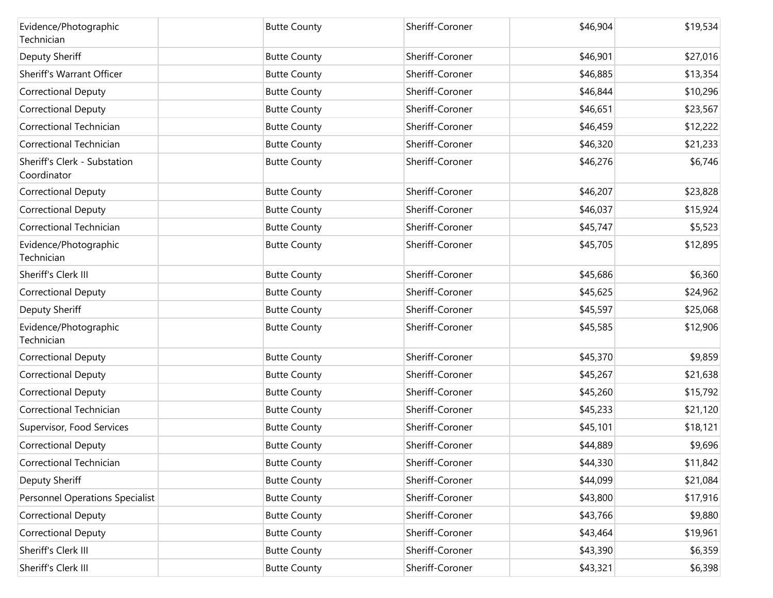| Evidence/Photographic<br>Technician         | <b>Butte County</b> | Sheriff-Coroner | \$46,904 | \$19,534 |
|---------------------------------------------|---------------------|-----------------|----------|----------|
| Deputy Sheriff                              | <b>Butte County</b> | Sheriff-Coroner | \$46,901 | \$27,016 |
| Sheriff's Warrant Officer                   | <b>Butte County</b> | Sheriff-Coroner | \$46,885 | \$13,354 |
| <b>Correctional Deputy</b>                  | <b>Butte County</b> | Sheriff-Coroner | \$46,844 | \$10,296 |
| <b>Correctional Deputy</b>                  | <b>Butte County</b> | Sheriff-Coroner | \$46,651 | \$23,567 |
| Correctional Technician                     | <b>Butte County</b> | Sheriff-Coroner | \$46,459 | \$12,222 |
| Correctional Technician                     | <b>Butte County</b> | Sheriff-Coroner | \$46,320 | \$21,233 |
| Sheriff's Clerk - Substation<br>Coordinator | <b>Butte County</b> | Sheriff-Coroner | \$46,276 | \$6,746  |
| <b>Correctional Deputy</b>                  | <b>Butte County</b> | Sheriff-Coroner | \$46,207 | \$23,828 |
| <b>Correctional Deputy</b>                  | <b>Butte County</b> | Sheriff-Coroner | \$46,037 | \$15,924 |
| Correctional Technician                     | <b>Butte County</b> | Sheriff-Coroner | \$45,747 | \$5,523  |
| Evidence/Photographic<br>Technician         | <b>Butte County</b> | Sheriff-Coroner | \$45,705 | \$12,895 |
| Sheriff's Clerk III                         | <b>Butte County</b> | Sheriff-Coroner | \$45,686 | \$6,360  |
| <b>Correctional Deputy</b>                  | <b>Butte County</b> | Sheriff-Coroner | \$45,625 | \$24,962 |
| Deputy Sheriff                              | <b>Butte County</b> | Sheriff-Coroner | \$45,597 | \$25,068 |
| Evidence/Photographic<br>Technician         | <b>Butte County</b> | Sheriff-Coroner | \$45,585 | \$12,906 |
| <b>Correctional Deputy</b>                  | <b>Butte County</b> | Sheriff-Coroner | \$45,370 | \$9,859  |
| <b>Correctional Deputy</b>                  | <b>Butte County</b> | Sheriff-Coroner | \$45,267 | \$21,638 |
| <b>Correctional Deputy</b>                  | <b>Butte County</b> | Sheriff-Coroner | \$45,260 | \$15,792 |
| Correctional Technician                     | <b>Butte County</b> | Sheriff-Coroner | \$45,233 | \$21,120 |
| Supervisor, Food Services                   | <b>Butte County</b> | Sheriff-Coroner | \$45,101 | \$18,121 |
| <b>Correctional Deputy</b>                  | <b>Butte County</b> | Sheriff-Coroner | \$44,889 | \$9,696  |
| Correctional Technician                     | <b>Butte County</b> | Sheriff-Coroner | \$44,330 | \$11,842 |
| Deputy Sheriff                              | <b>Butte County</b> | Sheriff-Coroner | \$44,099 | \$21,084 |
| <b>Personnel Operations Specialist</b>      | <b>Butte County</b> | Sheriff-Coroner | \$43,800 | \$17,916 |
| <b>Correctional Deputy</b>                  | <b>Butte County</b> | Sheriff-Coroner | \$43,766 | \$9,880  |
| <b>Correctional Deputy</b>                  | <b>Butte County</b> | Sheriff-Coroner | \$43,464 | \$19,961 |
| Sheriff's Clerk III                         | <b>Butte County</b> | Sheriff-Coroner | \$43,390 | \$6,359  |
| Sheriff's Clerk III                         | <b>Butte County</b> | Sheriff-Coroner | \$43,321 | \$6,398  |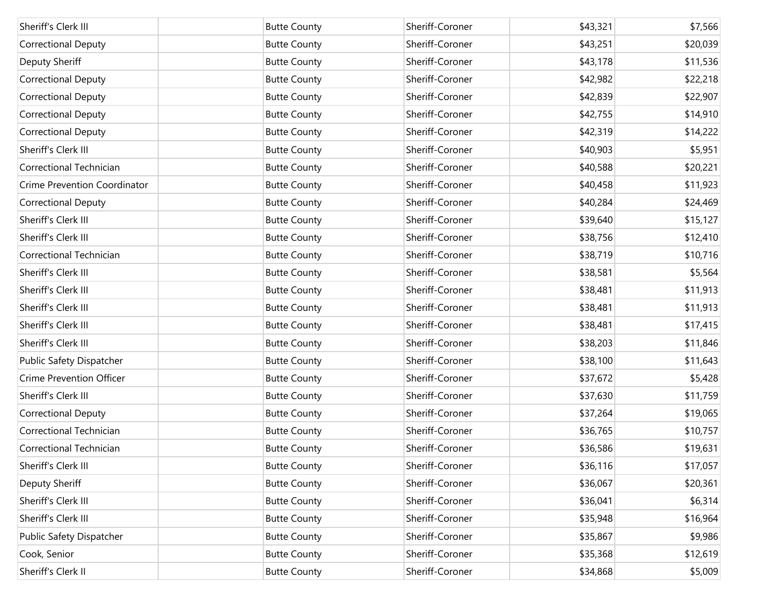| Sheriff's Clerk III                 | <b>Butte County</b> | Sheriff-Coroner | \$43,321 | \$7,566  |
|-------------------------------------|---------------------|-----------------|----------|----------|
| <b>Correctional Deputy</b>          | <b>Butte County</b> | Sheriff-Coroner | \$43,251 | \$20,039 |
| Deputy Sheriff                      | <b>Butte County</b> | Sheriff-Coroner | \$43,178 | \$11,536 |
| <b>Correctional Deputy</b>          | <b>Butte County</b> | Sheriff-Coroner | \$42,982 | \$22,218 |
| <b>Correctional Deputy</b>          | <b>Butte County</b> | Sheriff-Coroner | \$42,839 | \$22,907 |
| <b>Correctional Deputy</b>          | <b>Butte County</b> | Sheriff-Coroner | \$42,755 | \$14,910 |
| <b>Correctional Deputy</b>          | <b>Butte County</b> | Sheriff-Coroner | \$42,319 | \$14,222 |
| Sheriff's Clerk III                 | <b>Butte County</b> | Sheriff-Coroner | \$40,903 | \$5,951  |
| Correctional Technician             | <b>Butte County</b> | Sheriff-Coroner | \$40,588 | \$20,221 |
| <b>Crime Prevention Coordinator</b> | <b>Butte County</b> | Sheriff-Coroner | \$40,458 | \$11,923 |
| <b>Correctional Deputy</b>          | <b>Butte County</b> | Sheriff-Coroner | \$40,284 | \$24,469 |
| Sheriff's Clerk III                 | <b>Butte County</b> | Sheriff-Coroner | \$39,640 | \$15,127 |
| Sheriff's Clerk III                 | <b>Butte County</b> | Sheriff-Coroner | \$38,756 | \$12,410 |
| Correctional Technician             | <b>Butte County</b> | Sheriff-Coroner | \$38,719 | \$10,716 |
| Sheriff's Clerk III                 | <b>Butte County</b> | Sheriff-Coroner | \$38,581 | \$5,564  |
| Sheriff's Clerk III                 | <b>Butte County</b> | Sheriff-Coroner | \$38,481 | \$11,913 |
| Sheriff's Clerk III                 | <b>Butte County</b> | Sheriff-Coroner | \$38,481 | \$11,913 |
| Sheriff's Clerk III                 | <b>Butte County</b> | Sheriff-Coroner | \$38,481 | \$17,415 |
| Sheriff's Clerk III                 | <b>Butte County</b> | Sheriff-Coroner | \$38,203 | \$11,846 |
| Public Safety Dispatcher            | <b>Butte County</b> | Sheriff-Coroner | \$38,100 | \$11,643 |
| <b>Crime Prevention Officer</b>     | <b>Butte County</b> | Sheriff-Coroner | \$37,672 | \$5,428  |
| Sheriff's Clerk III                 | <b>Butte County</b> | Sheriff-Coroner | \$37,630 | \$11,759 |
| <b>Correctional Deputy</b>          | <b>Butte County</b> | Sheriff-Coroner | \$37,264 | \$19,065 |
| Correctional Technician             | <b>Butte County</b> | Sheriff-Coroner | \$36,765 | \$10,757 |
| Correctional Technician             | <b>Butte County</b> | Sheriff-Coroner | \$36,586 | \$19,631 |
| Sheriff's Clerk III                 | <b>Butte County</b> | Sheriff-Coroner | \$36,116 | \$17,057 |
| Deputy Sheriff                      | <b>Butte County</b> | Sheriff-Coroner | \$36,067 | \$20,361 |
| Sheriff's Clerk III                 | <b>Butte County</b> | Sheriff-Coroner | \$36,041 | \$6,314  |
| Sheriff's Clerk III                 | <b>Butte County</b> | Sheriff-Coroner | \$35,948 | \$16,964 |
| Public Safety Dispatcher            | <b>Butte County</b> | Sheriff-Coroner | \$35,867 | \$9,986  |
| Cook, Senior                        | <b>Butte County</b> | Sheriff-Coroner | \$35,368 | \$12,619 |
| Sheriff's Clerk II                  | <b>Butte County</b> | Sheriff-Coroner | \$34,868 | \$5,009  |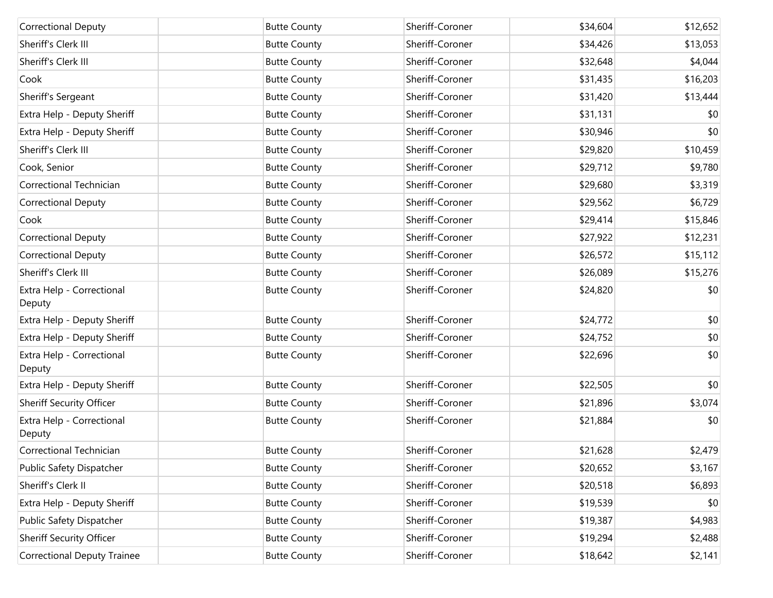| <b>Correctional Deputy</b>          | <b>Butte County</b> | Sheriff-Coroner | \$34,604 | \$12,652 |
|-------------------------------------|---------------------|-----------------|----------|----------|
| Sheriff's Clerk III                 | <b>Butte County</b> | Sheriff-Coroner | \$34,426 | \$13,053 |
| Sheriff's Clerk III                 | <b>Butte County</b> | Sheriff-Coroner | \$32,648 | \$4,044  |
| Cook                                | <b>Butte County</b> | Sheriff-Coroner | \$31,435 | \$16,203 |
| Sheriff's Sergeant                  | <b>Butte County</b> | Sheriff-Coroner | \$31,420 | \$13,444 |
| Extra Help - Deputy Sheriff         | <b>Butte County</b> | Sheriff-Coroner | \$31,131 | \$0      |
| Extra Help - Deputy Sheriff         | <b>Butte County</b> | Sheriff-Coroner | \$30,946 | \$0      |
| Sheriff's Clerk III                 | <b>Butte County</b> | Sheriff-Coroner | \$29,820 | \$10,459 |
| Cook, Senior                        | <b>Butte County</b> | Sheriff-Coroner | \$29,712 | \$9,780  |
| Correctional Technician             | <b>Butte County</b> | Sheriff-Coroner | \$29,680 | \$3,319  |
| <b>Correctional Deputy</b>          | <b>Butte County</b> | Sheriff-Coroner | \$29,562 | \$6,729  |
| Cook                                | <b>Butte County</b> | Sheriff-Coroner | \$29,414 | \$15,846 |
| <b>Correctional Deputy</b>          | <b>Butte County</b> | Sheriff-Coroner | \$27,922 | \$12,231 |
| <b>Correctional Deputy</b>          | <b>Butte County</b> | Sheriff-Coroner | \$26,572 | \$15,112 |
| Sheriff's Clerk III                 | <b>Butte County</b> | Sheriff-Coroner | \$26,089 | \$15,276 |
| Extra Help - Correctional<br>Deputy | <b>Butte County</b> | Sheriff-Coroner | \$24,820 | \$0      |
| Extra Help - Deputy Sheriff         | <b>Butte County</b> | Sheriff-Coroner | \$24,772 | \$0      |
| Extra Help - Deputy Sheriff         | <b>Butte County</b> | Sheriff-Coroner | \$24,752 | \$0      |
| Extra Help - Correctional<br>Deputy | <b>Butte County</b> | Sheriff-Coroner | \$22,696 | \$0      |
| Extra Help - Deputy Sheriff         | <b>Butte County</b> | Sheriff-Coroner | \$22,505 | \$0      |
| <b>Sheriff Security Officer</b>     | <b>Butte County</b> | Sheriff-Coroner | \$21,896 | \$3,074  |
| Extra Help - Correctional<br>Deputy | <b>Butte County</b> | Sheriff-Coroner | \$21,884 | \$0      |
| Correctional Technician             | <b>Butte County</b> | Sheriff-Coroner | \$21,628 | \$2,479  |
| Public Safety Dispatcher            | <b>Butte County</b> | Sheriff-Coroner | \$20,652 | \$3,167  |
| Sheriff's Clerk II                  | <b>Butte County</b> | Sheriff-Coroner | \$20,518 | \$6,893  |
| Extra Help - Deputy Sheriff         | <b>Butte County</b> | Sheriff-Coroner | \$19,539 | \$0      |
| Public Safety Dispatcher            | <b>Butte County</b> | Sheriff-Coroner | \$19,387 | \$4,983  |
| Sheriff Security Officer            | <b>Butte County</b> | Sheriff-Coroner | \$19,294 | \$2,488  |
| <b>Correctional Deputy Trainee</b>  | <b>Butte County</b> | Sheriff-Coroner | \$18,642 | \$2,141  |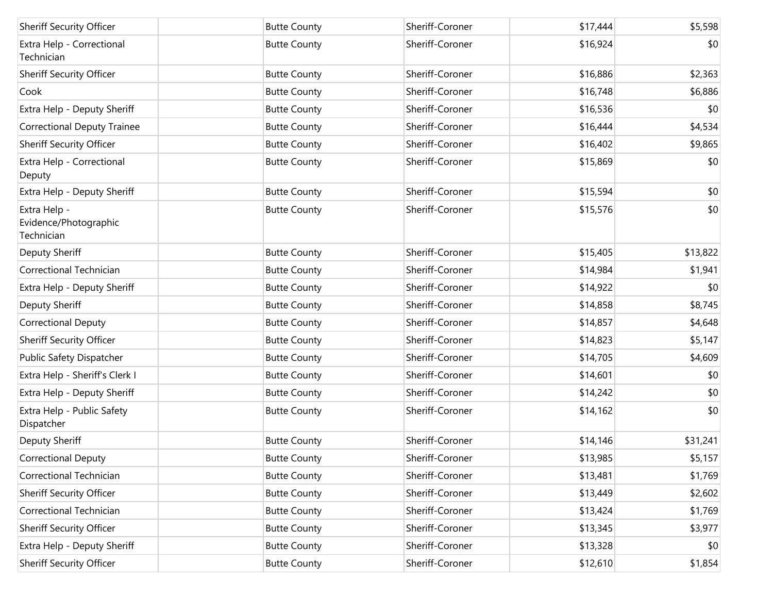| <b>Sheriff Security Officer</b>                     | <b>Butte County</b> | Sheriff-Coroner | \$17,444 | \$5,598  |
|-----------------------------------------------------|---------------------|-----------------|----------|----------|
| Extra Help - Correctional<br>Technician             | <b>Butte County</b> | Sheriff-Coroner | \$16,924 | \$0      |
| <b>Sheriff Security Officer</b>                     | <b>Butte County</b> | Sheriff-Coroner | \$16,886 | \$2,363  |
| Cook                                                | <b>Butte County</b> | Sheriff-Coroner | \$16,748 | \$6,886  |
| Extra Help - Deputy Sheriff                         | <b>Butte County</b> | Sheriff-Coroner | \$16,536 | \$0      |
| <b>Correctional Deputy Trainee</b>                  | <b>Butte County</b> | Sheriff-Coroner | \$16,444 | \$4,534  |
| <b>Sheriff Security Officer</b>                     | <b>Butte County</b> | Sheriff-Coroner | \$16,402 | \$9,865  |
| Extra Help - Correctional<br>Deputy                 | <b>Butte County</b> | Sheriff-Coroner | \$15,869 | \$0      |
| Extra Help - Deputy Sheriff                         | <b>Butte County</b> | Sheriff-Coroner | \$15,594 | \$0      |
| Extra Help -<br>Evidence/Photographic<br>Technician | <b>Butte County</b> | Sheriff-Coroner | \$15,576 | \$0      |
| <b>Deputy Sheriff</b>                               | <b>Butte County</b> | Sheriff-Coroner | \$15,405 | \$13,822 |
| Correctional Technician                             | <b>Butte County</b> | Sheriff-Coroner | \$14,984 | \$1,941  |
| Extra Help - Deputy Sheriff                         | <b>Butte County</b> | Sheriff-Coroner | \$14,922 | \$0      |
| <b>Deputy Sheriff</b>                               | <b>Butte County</b> | Sheriff-Coroner | \$14,858 | \$8,745  |
| <b>Correctional Deputy</b>                          | <b>Butte County</b> | Sheriff-Coroner | \$14,857 | \$4,648  |
| Sheriff Security Officer                            | <b>Butte County</b> | Sheriff-Coroner | \$14,823 | \$5,147  |
| Public Safety Dispatcher                            | <b>Butte County</b> | Sheriff-Coroner | \$14,705 | \$4,609  |
| Extra Help - Sheriff's Clerk I                      | <b>Butte County</b> | Sheriff-Coroner | \$14,601 | \$0      |
| Extra Help - Deputy Sheriff                         | <b>Butte County</b> | Sheriff-Coroner | \$14,242 | \$0      |
| Extra Help - Public Safety<br>Dispatcher            | <b>Butte County</b> | Sheriff-Coroner | \$14,162 | \$0      |
| Deputy Sheriff                                      | <b>Butte County</b> | Sheriff-Coroner | \$14,146 | \$31,241 |
| <b>Correctional Deputy</b>                          | <b>Butte County</b> | Sheriff-Coroner | \$13,985 | \$5,157  |
| Correctional Technician                             | <b>Butte County</b> | Sheriff-Coroner | \$13,481 | \$1,769  |
| <b>Sheriff Security Officer</b>                     | <b>Butte County</b> | Sheriff-Coroner | \$13,449 | \$2,602  |
| Correctional Technician                             | <b>Butte County</b> | Sheriff-Coroner | \$13,424 | \$1,769  |
| <b>Sheriff Security Officer</b>                     | <b>Butte County</b> | Sheriff-Coroner | \$13,345 | \$3,977  |
| Extra Help - Deputy Sheriff                         | <b>Butte County</b> | Sheriff-Coroner | \$13,328 | \$0      |
| Sheriff Security Officer                            | <b>Butte County</b> | Sheriff-Coroner | \$12,610 | \$1,854  |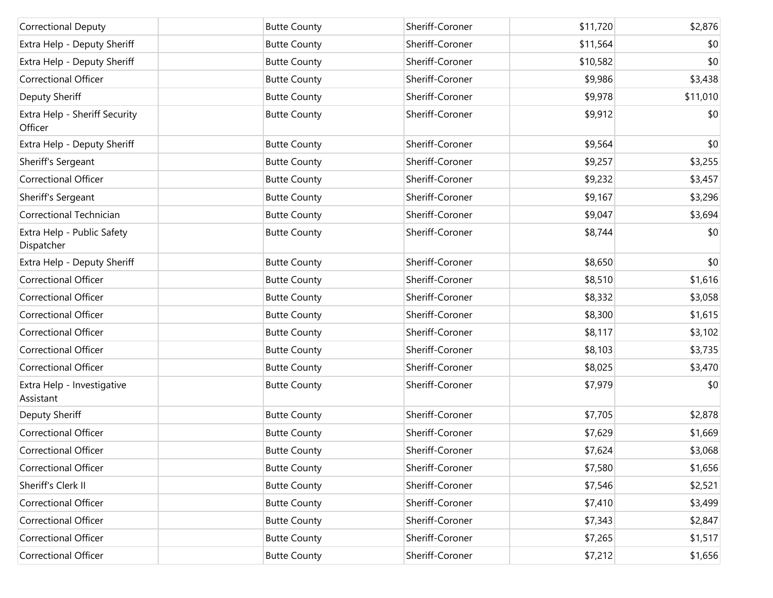| <b>Correctional Deputy</b>               | <b>Butte County</b> | Sheriff-Coroner | \$11,720 | \$2,876  |
|------------------------------------------|---------------------|-----------------|----------|----------|
| Extra Help - Deputy Sheriff              | <b>Butte County</b> | Sheriff-Coroner | \$11,564 | \$0      |
| Extra Help - Deputy Sheriff              | <b>Butte County</b> | Sheriff-Coroner | \$10,582 | \$0      |
| <b>Correctional Officer</b>              | <b>Butte County</b> | Sheriff-Coroner | \$9,986  | \$3,438  |
| <b>Deputy Sheriff</b>                    | <b>Butte County</b> | Sheriff-Coroner | \$9,978  | \$11,010 |
| Extra Help - Sheriff Security<br>Officer | <b>Butte County</b> | Sheriff-Coroner | \$9,912  | \$0      |
| Extra Help - Deputy Sheriff              | <b>Butte County</b> | Sheriff-Coroner | \$9,564  | \$0      |
| Sheriff's Sergeant                       | <b>Butte County</b> | Sheriff-Coroner | \$9,257  | \$3,255  |
| <b>Correctional Officer</b>              | <b>Butte County</b> | Sheriff-Coroner | \$9,232  | \$3,457  |
| Sheriff's Sergeant                       | <b>Butte County</b> | Sheriff-Coroner | \$9,167  | \$3,296  |
| Correctional Technician                  | <b>Butte County</b> | Sheriff-Coroner | \$9,047  | \$3,694  |
| Extra Help - Public Safety<br>Dispatcher | <b>Butte County</b> | Sheriff-Coroner | \$8,744  | \$0      |
| Extra Help - Deputy Sheriff              | <b>Butte County</b> | Sheriff-Coroner | \$8,650  | \$0      |
| <b>Correctional Officer</b>              | <b>Butte County</b> | Sheriff-Coroner | \$8,510  | \$1,616  |
| <b>Correctional Officer</b>              | <b>Butte County</b> | Sheriff-Coroner | \$8,332  | \$3,058  |
| <b>Correctional Officer</b>              | <b>Butte County</b> | Sheriff-Coroner | \$8,300  | \$1,615  |
| <b>Correctional Officer</b>              | <b>Butte County</b> | Sheriff-Coroner | \$8,117  | \$3,102  |
| <b>Correctional Officer</b>              | <b>Butte County</b> | Sheriff-Coroner | \$8,103  | \$3,735  |
| <b>Correctional Officer</b>              | <b>Butte County</b> | Sheriff-Coroner | \$8,025  | \$3,470  |
| Extra Help - Investigative<br>Assistant  | <b>Butte County</b> | Sheriff-Coroner | \$7,979  | \$0      |
| <b>Deputy Sheriff</b>                    | <b>Butte County</b> | Sheriff-Coroner | \$7,705  | \$2,878  |
| <b>Correctional Officer</b>              | <b>Butte County</b> | Sheriff-Coroner | \$7,629  | \$1,669  |
| <b>Correctional Officer</b>              | <b>Butte County</b> | Sheriff-Coroner | \$7,624  | \$3,068  |
| <b>Correctional Officer</b>              | <b>Butte County</b> | Sheriff-Coroner | \$7,580  | \$1,656  |
| Sheriff's Clerk II                       | <b>Butte County</b> | Sheriff-Coroner | \$7,546  | \$2,521  |
| Correctional Officer                     | <b>Butte County</b> | Sheriff-Coroner | \$7,410  | \$3,499  |
| Correctional Officer                     | <b>Butte County</b> | Sheriff-Coroner | \$7,343  | \$2,847  |
| Correctional Officer                     | <b>Butte County</b> | Sheriff-Coroner | \$7,265  | \$1,517  |
| Correctional Officer                     | <b>Butte County</b> | Sheriff-Coroner | \$7,212  | \$1,656  |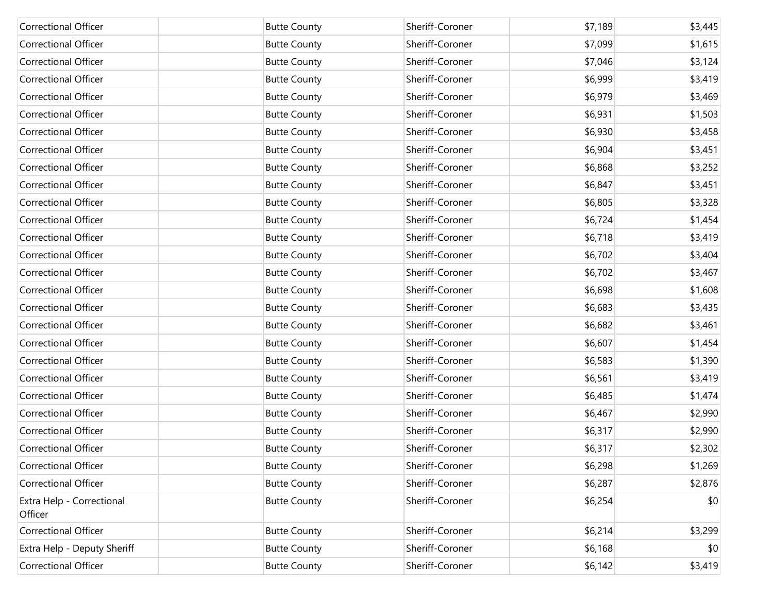| <b>Correctional Officer</b>          | <b>Butte County</b> | Sheriff-Coroner | \$7,189 | \$3,445 |
|--------------------------------------|---------------------|-----------------|---------|---------|
| <b>Correctional Officer</b>          | <b>Butte County</b> | Sheriff-Coroner | \$7,099 | \$1,615 |
| <b>Correctional Officer</b>          | <b>Butte County</b> | Sheriff-Coroner | \$7,046 | \$3,124 |
| <b>Correctional Officer</b>          | <b>Butte County</b> | Sheriff-Coroner | \$6,999 | \$3,419 |
| <b>Correctional Officer</b>          | <b>Butte County</b> | Sheriff-Coroner | \$6,979 | \$3,469 |
| <b>Correctional Officer</b>          | <b>Butte County</b> | Sheriff-Coroner | \$6,931 | \$1,503 |
| <b>Correctional Officer</b>          | <b>Butte County</b> | Sheriff-Coroner | \$6,930 | \$3,458 |
| <b>Correctional Officer</b>          | <b>Butte County</b> | Sheriff-Coroner | \$6,904 | \$3,451 |
| <b>Correctional Officer</b>          | <b>Butte County</b> | Sheriff-Coroner | \$6,868 | \$3,252 |
| <b>Correctional Officer</b>          | <b>Butte County</b> | Sheriff-Coroner | \$6,847 | \$3,451 |
| <b>Correctional Officer</b>          | <b>Butte County</b> | Sheriff-Coroner | \$6,805 | \$3,328 |
| <b>Correctional Officer</b>          | <b>Butte County</b> | Sheriff-Coroner | \$6,724 | \$1,454 |
| <b>Correctional Officer</b>          | <b>Butte County</b> | Sheriff-Coroner | \$6,718 | \$3,419 |
| <b>Correctional Officer</b>          | <b>Butte County</b> | Sheriff-Coroner | \$6,702 | \$3,404 |
| <b>Correctional Officer</b>          | <b>Butte County</b> | Sheriff-Coroner | \$6,702 | \$3,467 |
| <b>Correctional Officer</b>          | <b>Butte County</b> | Sheriff-Coroner | \$6,698 | \$1,608 |
| <b>Correctional Officer</b>          | <b>Butte County</b> | Sheriff-Coroner | \$6,683 | \$3,435 |
| <b>Correctional Officer</b>          | <b>Butte County</b> | Sheriff-Coroner | \$6,682 | \$3,461 |
| <b>Correctional Officer</b>          | <b>Butte County</b> | Sheriff-Coroner | \$6,607 | \$1,454 |
| <b>Correctional Officer</b>          | <b>Butte County</b> | Sheriff-Coroner | \$6,583 | \$1,390 |
| <b>Correctional Officer</b>          | <b>Butte County</b> | Sheriff-Coroner | \$6,561 | \$3,419 |
| <b>Correctional Officer</b>          | <b>Butte County</b> | Sheriff-Coroner | \$6,485 | \$1,474 |
| <b>Correctional Officer</b>          | <b>Butte County</b> | Sheriff-Coroner | \$6,467 | \$2,990 |
| <b>Correctional Officer</b>          | <b>Butte County</b> | Sheriff-Coroner | \$6,317 | \$2,990 |
| Correctional Officer                 | <b>Butte County</b> | Sheriff-Coroner | \$6,317 | \$2,302 |
| <b>Correctional Officer</b>          | <b>Butte County</b> | Sheriff-Coroner | \$6,298 | \$1,269 |
| Correctional Officer                 | <b>Butte County</b> | Sheriff-Coroner | \$6,287 | \$2,876 |
| Extra Help - Correctional<br>Officer | <b>Butte County</b> | Sheriff-Coroner | \$6,254 | \$0     |
| <b>Correctional Officer</b>          | <b>Butte County</b> | Sheriff-Coroner | \$6,214 | \$3,299 |
| Extra Help - Deputy Sheriff          | <b>Butte County</b> | Sheriff-Coroner | \$6,168 | \$0     |
| Correctional Officer                 | <b>Butte County</b> | Sheriff-Coroner | \$6,142 | \$3,419 |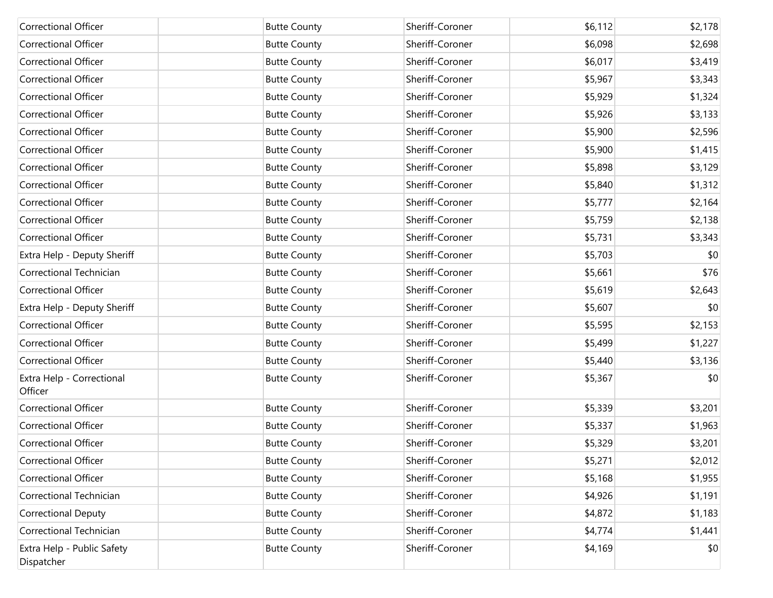| Correctional Officer                     | <b>Butte County</b> | Sheriff-Coroner | \$6,112 | \$2,178 |
|------------------------------------------|---------------------|-----------------|---------|---------|
| Correctional Officer                     | <b>Butte County</b> | Sheriff-Coroner | \$6,098 | \$2,698 |
| Correctional Officer                     | <b>Butte County</b> | Sheriff-Coroner | \$6,017 | \$3,419 |
| Correctional Officer                     | <b>Butte County</b> | Sheriff-Coroner | \$5,967 | \$3,343 |
| Correctional Officer                     | <b>Butte County</b> | Sheriff-Coroner | \$5,929 | \$1,324 |
| Correctional Officer                     | <b>Butte County</b> | Sheriff-Coroner | \$5,926 | \$3,133 |
| Correctional Officer                     | <b>Butte County</b> | Sheriff-Coroner | \$5,900 | \$2,596 |
| Correctional Officer                     | <b>Butte County</b> | Sheriff-Coroner | \$5,900 | \$1,415 |
| Correctional Officer                     | <b>Butte County</b> | Sheriff-Coroner | \$5,898 | \$3,129 |
| Correctional Officer                     | <b>Butte County</b> | Sheriff-Coroner | \$5,840 | \$1,312 |
| Correctional Officer                     | <b>Butte County</b> | Sheriff-Coroner | \$5,777 | \$2,164 |
| Correctional Officer                     | <b>Butte County</b> | Sheriff-Coroner | \$5,759 | \$2,138 |
| Correctional Officer                     | <b>Butte County</b> | Sheriff-Coroner | \$5,731 | \$3,343 |
| Extra Help - Deputy Sheriff              | <b>Butte County</b> | Sheriff-Coroner | \$5,703 | \$0     |
| Correctional Technician                  | <b>Butte County</b> | Sheriff-Coroner | \$5,661 | \$76    |
| Correctional Officer                     | <b>Butte County</b> | Sheriff-Coroner | \$5,619 | \$2,643 |
| Extra Help - Deputy Sheriff              | <b>Butte County</b> | Sheriff-Coroner | \$5,607 | \$0     |
| Correctional Officer                     | <b>Butte County</b> | Sheriff-Coroner | \$5,595 | \$2,153 |
| Correctional Officer                     | <b>Butte County</b> | Sheriff-Coroner | \$5,499 | \$1,227 |
| Correctional Officer                     | <b>Butte County</b> | Sheriff-Coroner | \$5,440 | \$3,136 |
| Extra Help - Correctional<br>Officer     | <b>Butte County</b> | Sheriff-Coroner | \$5,367 | \$0     |
| Correctional Officer                     | <b>Butte County</b> | Sheriff-Coroner | \$5,339 | \$3,201 |
| Correctional Officer                     | <b>Butte County</b> | Sheriff-Coroner | \$5,337 | \$1,963 |
| Correctional Officer                     | <b>Butte County</b> | Sheriff-Coroner | \$5,329 | \$3,201 |
| Correctional Officer                     | <b>Butte County</b> | Sheriff-Coroner | \$5,271 | \$2,012 |
| Correctional Officer                     | <b>Butte County</b> | Sheriff-Coroner | \$5,168 | \$1,955 |
| Correctional Technician                  | <b>Butte County</b> | Sheriff-Coroner | \$4,926 | \$1,191 |
| Correctional Deputy                      | <b>Butte County</b> | Sheriff-Coroner | \$4,872 | \$1,183 |
| Correctional Technician                  | <b>Butte County</b> | Sheriff-Coroner | \$4,774 | \$1,441 |
| Extra Help - Public Safety<br>Dispatcher | <b>Butte County</b> | Sheriff-Coroner | \$4,169 | \$0     |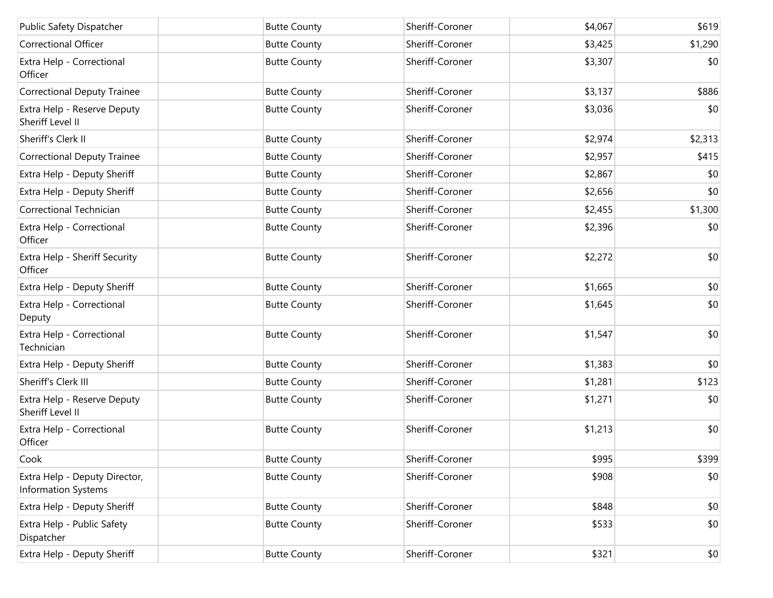| Public Safety Dispatcher                             | <b>Butte County</b> | Sheriff-Coroner | \$4,067 | \$619   |
|------------------------------------------------------|---------------------|-----------------|---------|---------|
| Correctional Officer                                 | <b>Butte County</b> | Sheriff-Coroner | \$3,425 | \$1,290 |
| Extra Help - Correctional<br>Officer                 | <b>Butte County</b> | Sheriff-Coroner | \$3,307 | \$0     |
| <b>Correctional Deputy Trainee</b>                   | <b>Butte County</b> | Sheriff-Coroner | \$3,137 | \$886   |
| Extra Help - Reserve Deputy<br>Sheriff Level II      | <b>Butte County</b> | Sheriff-Coroner | \$3,036 | \$0     |
| Sheriff's Clerk II                                   | <b>Butte County</b> | Sheriff-Coroner | \$2,974 | \$2,313 |
| <b>Correctional Deputy Trainee</b>                   | <b>Butte County</b> | Sheriff-Coroner | \$2,957 | \$415   |
| Extra Help - Deputy Sheriff                          | <b>Butte County</b> | Sheriff-Coroner | \$2,867 | \$0     |
| Extra Help - Deputy Sheriff                          | <b>Butte County</b> | Sheriff-Coroner | \$2,656 | \$0     |
| Correctional Technician                              | <b>Butte County</b> | Sheriff-Coroner | \$2,455 | \$1,300 |
| Extra Help - Correctional<br>Officer                 | <b>Butte County</b> | Sheriff-Coroner | \$2,396 | \$0     |
| Extra Help - Sheriff Security<br>Officer             | <b>Butte County</b> | Sheriff-Coroner | \$2,272 | \$0     |
| Extra Help - Deputy Sheriff                          | <b>Butte County</b> | Sheriff-Coroner | \$1,665 | \$0     |
| Extra Help - Correctional<br>Deputy                  | <b>Butte County</b> | Sheriff-Coroner | \$1,645 | \$0     |
| Extra Help - Correctional<br>Technician              | <b>Butte County</b> | Sheriff-Coroner | \$1,547 | \$0     |
| Extra Help - Deputy Sheriff                          | <b>Butte County</b> | Sheriff-Coroner | \$1,383 | \$0     |
| Sheriff's Clerk III                                  | <b>Butte County</b> | Sheriff-Coroner | \$1,281 | \$123   |
| Extra Help - Reserve Deputy<br>Sheriff Level II      | <b>Butte County</b> | Sheriff-Coroner | \$1,271 | \$0     |
| Extra Help - Correctional<br>Officer                 | <b>Butte County</b> | Sheriff-Coroner | \$1,213 | \$0     |
| Cook                                                 | <b>Butte County</b> | Sheriff-Coroner | \$995   | \$399   |
| Extra Help - Deputy Director,<br>Information Systems | <b>Butte County</b> | Sheriff-Coroner | \$908   | \$0     |
| Extra Help - Deputy Sheriff                          | <b>Butte County</b> | Sheriff-Coroner | \$848   | \$0     |
| Extra Help - Public Safety<br>Dispatcher             | <b>Butte County</b> | Sheriff-Coroner | \$533   | \$0     |
| Extra Help - Deputy Sheriff                          | <b>Butte County</b> | Sheriff-Coroner | \$321   | \$0     |